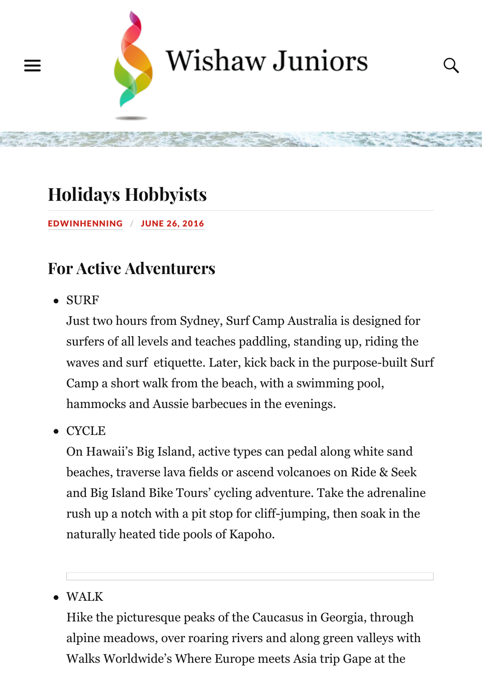# **Holid[ays Hobbyists](http://www.wishawjuniors.com/)**

#### EDWINHENNING / JUNE 26, 2016

### **For Active Adventurers**

SURF

[Just two hours from Sydn](http://www.wishawjuniors.com/2016/06/holidays-hobbyists/)ey, Surf Camp Australia is designed for [surfers of a](http://www.wishawjuniors.com/author/edwinhenning/)ll [levels and te](http://www.wishawjuniors.com/2016/06/holidays-hobbyists/)aches paddling, standing up, riding the waves and surf etiquette. Later, kick back in the purpose-built Surf Camp a short walk from the beach, with a swimming pool, hammocks and Aussie barbecues in the evenings.

**CYCLE** 

On Hawaii's Big Island, active types can pedal along white sand beaches, traverse lava fields or ascend volcanoes on Ride & Seek and Big Island Bike Tours' cycling adventure. Take the adrenaline rush up a notch with a pit stop for cliff-jumping, then soak in the naturally heated tide pools of Kapoho.

#### WALK

Hike the picturesque peaks of the Caucasus in Georgia, through alpine meadows, over roaring rivers and along green valleys with Walks Worldwide's Where Europe meets Asia trip Gape at the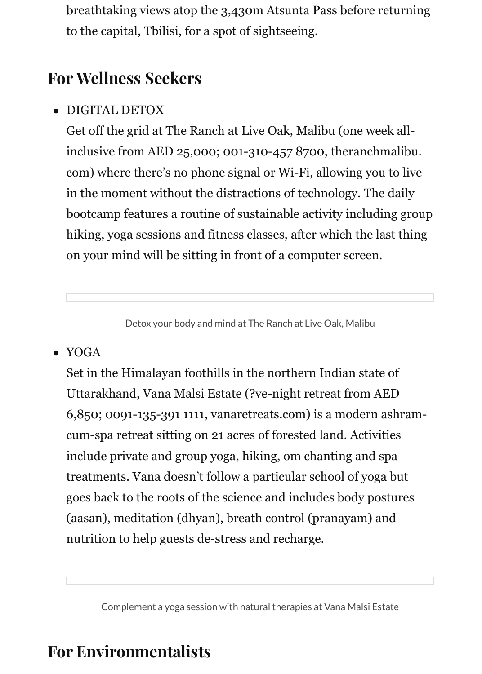breathtaking views atop the 3,430m Atsunta Pass before returning to the capital, Tbilisi, for a spot of sightseeing.

### **For Wellness Seekers**

DIGITAL DETOX  $\bullet$ 

> Get off the grid at The Ranch at Live Oak, Malibu (one week allinclusive from AED 25,000; 001-310-457 8700, theranchmalibu. com) where there's no phone signal or Wi-Fi, allowing you to live in the moment without the distractions of technology. The daily bootcamp features a routine of sustainable activity including group hiking, yoga sessions and fitness classes, after which the last thing on your mind will be sitting in front of a computer screen.

> > Detox your body and mind at The Ranch at Live Oak, Malibu

• YOGA

Set in the Himalayan foothills in the northern Indian state of Uttarakhand, Vana Malsi Estate (?ve-night retreat from AED 6,850; 0091-135-391 1111, vanaretreats.com) is a modern ashramcum-spa retreat sitting on 21 acres of forested land. Activities include private and group yoga, hiking, om chanting and spa treatments. Vana doesn't follow a particular school of yoga but goes back to the roots of the science and includes body postures (aasan), meditation (dhyan), breath control (pranayam) and nutrition to help guests de-stress and recharge.

Complement a yoga session with natural therapies at Vana Malsi Estate

### **For Environmentalists**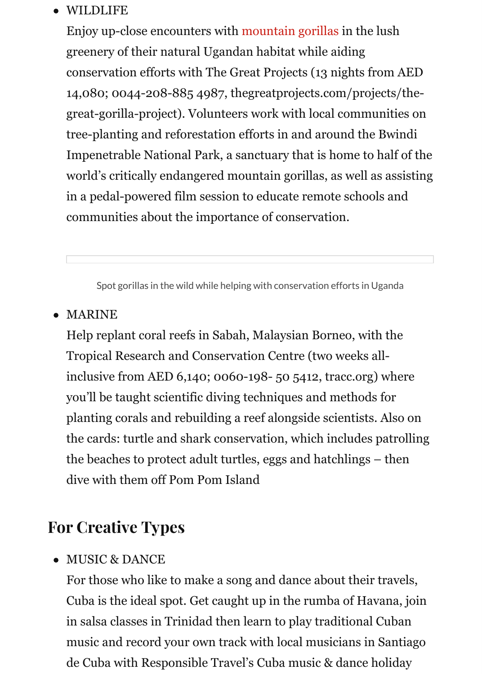tree-planting and reforestation efforts in and around the Bwindi Impenetrable National Park, a s[anctuary that is ho](http://animals.nationalgeographic.com/animals/mammals/mountain-gorilla/)me to half of the world's critically endangered mountain gorillas, as well as assisting in a pedal-powered film session to educate remote schools and communities about the importance of conservation.

Spot gorillas in the wild while helping with conservation efforts in Uganda

#### MARINE

Help replant coral reefs in Sabah, Malaysian Borneo, with the Tropical Research and Conservation Centre (two weeks allinclusive from AED 6,140; 0060-198- 50 5412, tracc.org) where you'll be taught scientific diving techniques and methods for planting corals and rebuilding a reef alongside scientists. Also on the cards: turtle and shark conservation, which includes patrolling the beaches to protect adult turtles, eggs and hatchlings – then dive with them off Pom Pom Island

### **For Creative Types**

MUSIC & DANCE

For those who like to make a song and dance about their travels, Cuba is the ideal spot. Get caught up in the rumba of Havana, join in salsa classes in Trinidad then learn to play traditional Cuban music and record your own track with local musicians in Santiago de Cuba with Responsible Travel's Cuba music & dance holiday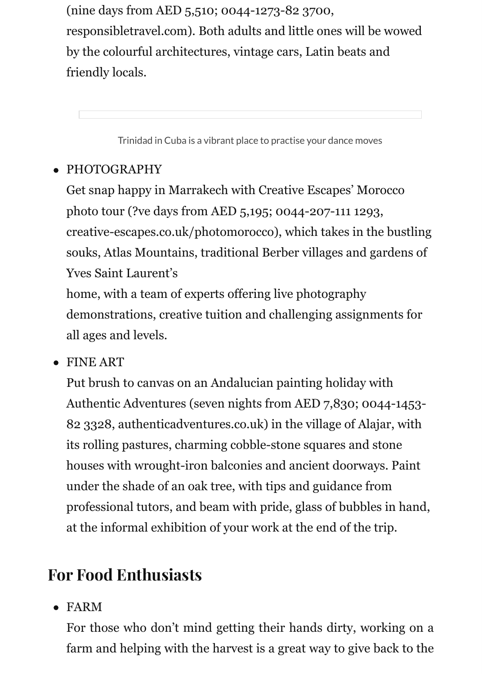Trinidad in Cuba is a vibrant place to practise your dance moves

### PHOTOGRAPHY

Get snap happy in Marrakech with Creative Escapes' Morocco photo tour (?ve days from AED 5,195; 0044-207-111 1293, [creative-escapes.co.uk/photomorocco\), which takes in the bustling](https://www.yelp.com/biz/havana-rumba-louisville) souks, Atlas Mountains, traditional Berber villages and gardens of Yves Saint Laurent's

home, with a team of experts offering live photography demonstrations, creative tuition and challenging assignments for all ages and levels.

FINE ART

Put brush to canvas on an Andalucian painting holiday with Authentic Adventures (seven nights from AED 7,830; 0044-1453- 82 3328, authenticadventures.co.uk) in the village of Alajar, with its rolling pastures, charming cobble-stone squares and stone houses with wrought-iron balconies and ancient doorways. Paint under the shade of an oak tree, with tips and guidance from professional tutors, and beam with pride, glass of bubbles in hand, at the informal exhibition of your work at the end of the trip.

## **For Food Enthusiasts**

FARM

For those who don't mind getting their hands dirty, working on farm and helping with the harvest is a great way to give back to the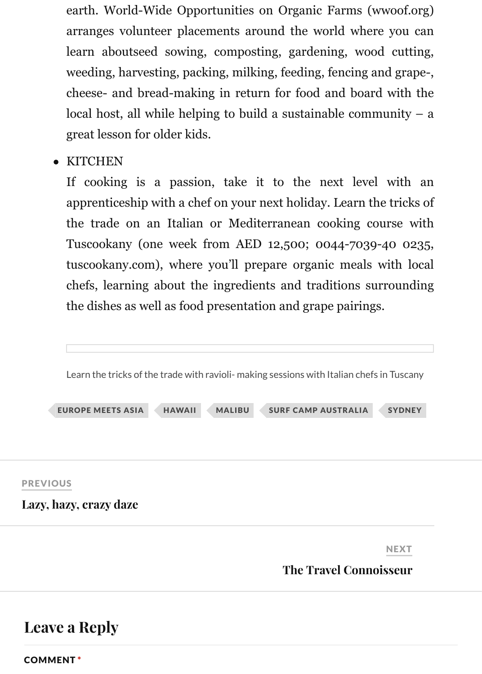great lesson for older kids.

**KITCHEN** 

If cooking is a passion, take it to the next level with a apprenticeship with a chef on your next holiday. Learn the tricks the trade on an Italian or Mediterranean cooking course wi Tuscookany (one week from AED 12,500; 0044-7039-40 023 tuscookany.com), where you'll prepare organic meals with loc chefs, learning about the ingredients and traditions surrounding the dishes as well as food presentation and grape pairings.



### **[Leave a Reply](http://www.wishawjuniors.com/2015/12/lazy-hazy-crazy-daze/)**

COMMENT \*